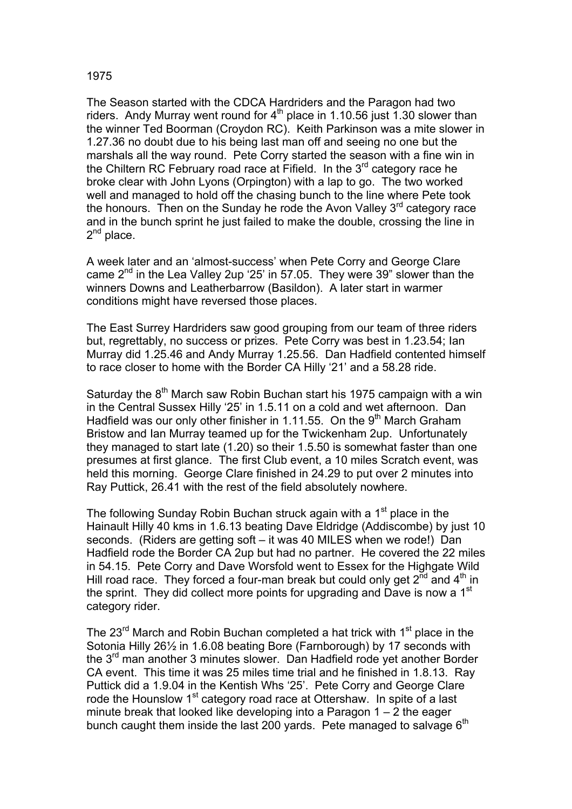## 1975

The Season started with the CDCA Hardriders and the Paragon had two riders. Andy Murray went round for  $4<sup>th</sup>$  place in 1.10.56 just 1.30 slower than the winner Ted Boorman (Croydon RC). Keith Parkinson was a mite slower in 1.27.36 no doubt due to his being last man off and seeing no one but the marshals all the way round. Pete Corry started the season with a fine win in the Chiltern RC February road race at Fifield. In the  $3<sup>rd</sup>$  category race he broke clear with John Lyons (Orpington) with a lap to go. The two worked well and managed to hold off the chasing bunch to the line where Pete took the honours. Then on the Sunday he rode the Avon Valley  $3<sup>rd</sup>$  category race and in the bunch sprint he just failed to make the double, crossing the line in 2<sup>nd</sup> place.

A week later and an 'almost-success' when Pete Corry and George Clare came 2<sup>nd</sup> in the Lea Valley 2up '25' in 57.05. They were 39" slower than the winners Downs and Leatherbarrow (Basildon). A later start in warmer conditions might have reversed those places.

The East Surrey Hardriders saw good grouping from our team of three riders but, regrettably, no success or prizes. Pete Corry was best in 1.23.54; Ian Murray did 1.25.46 and Andy Murray 1.25.56. Dan Hadfield contented himself to race closer to home with the Border CA Hilly '21' and a 58.28 ride.

Saturday the  $8<sup>th</sup>$  March saw Robin Buchan start his 1975 campaign with a win in the Central Sussex Hilly '25' in 1.5.11 on a cold and wet afternoon. Dan Hadfield was our only other finisher in 1.11.55. On the 9<sup>th</sup> March Graham Bristow and Ian Murray teamed up for the Twickenham 2up. Unfortunately they managed to start late (1.20) so their 1.5.50 is somewhat faster than one presumes at first glance. The first Club event, a 10 miles Scratch event, was held this morning. George Clare finished in 24.29 to put over 2 minutes into Ray Puttick, 26.41 with the rest of the field absolutely nowhere.

The following Sunday Robin Buchan struck again with a 1<sup>st</sup> place in the Hainault Hilly 40 kms in 1.6.13 beating Dave Eldridge (Addiscombe) by just 10 seconds. (Riders are getting soft – it was 40 MILES when we rode!) Dan Hadfield rode the Border CA 2up but had no partner. He covered the 22 miles in 54.15. Pete Corry and Dave Worsfold went to Essex for the Highgate Wild Hill road race. They forced a four-man break but could only get  $2^{\overline{n}d}$  and  $4^{\text{th}}$  in the sprint. They did collect more points for upgrading and Dave is now a 1<sup>st</sup> category rider.

The  $23<sup>rd</sup>$  March and Robin Buchan completed a hat trick with 1<sup>st</sup> place in the Sotonia Hilly 26½ in 1.6.08 beating Bore (Farnborough) by 17 seconds with the  $3<sup>rd</sup>$  man another 3 minutes slower. Dan Hadfield rode yet another Border CA event. This time it was 25 miles time trial and he finished in 1.8.13. Ray Puttick did a 1.9.04 in the Kentish Whs '25'. Pete Corry and George Clare rode the Hounslow 1st category road race at Ottershaw. In spite of a last minute break that looked like developing into a Paragon 1 – 2 the eager bunch caught them inside the last 200 yards. Pete managed to salvage  $6<sup>th</sup>$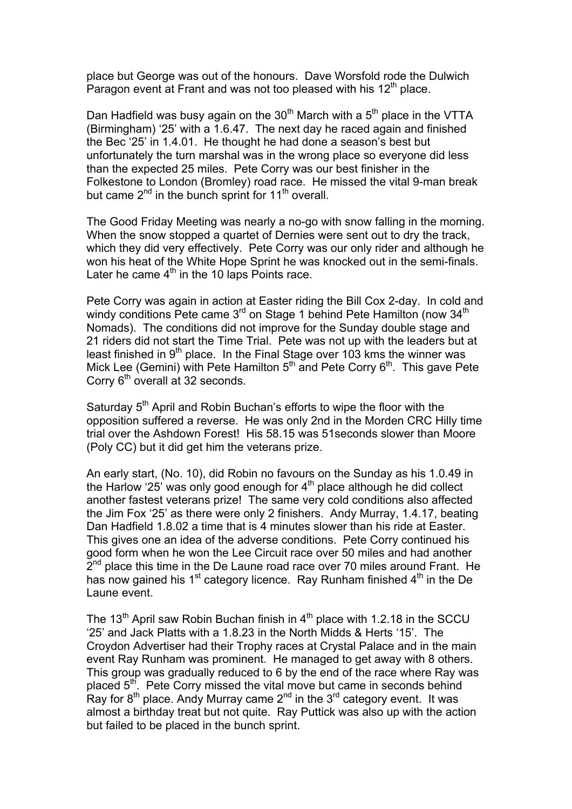place but George was out of the honours. Dave Worsfold rode the Dulwich Paragon event at Frant and was not too pleased with his  $12<sup>th</sup>$  place.

Dan Hadfield was busy again on the  $30<sup>th</sup>$  March with a  $5<sup>th</sup>$  place in the VTTA (Birmingham) '25' with a 1.6.47. The next day he raced again and finished the Bec '25' in 1.4.01. He thought he had done a season's best but unfortunately the turn marshal was in the wrong place so everyone did less than the expected 25 miles. Pete Corry was our best finisher in the Folkestone to London (Bromley) road race. He missed the vital 9-man break but came  $2^{nd}$  in the bunch sprint for 11<sup>th</sup> overall.

The Good Friday Meeting was nearly a no-go with snow falling in the morning. When the snow stopped a quartet of Dernies were sent out to dry the track, which they did very effectively. Pete Corry was our only rider and although he won his heat of the White Hope Sprint he was knocked out in the semi-finals. Later he came  $4<sup>th</sup>$  in the 10 laps Points race.

Pete Corry was again in action at Easter riding the Bill Cox 2-day. In cold and windy conditions Pete came 3<sup>rd</sup> on Stage 1 behind Pete Hamilton (now 34<sup>th</sup>) Nomads). The conditions did not improve for the Sunday double stage and 21 riders did not start the Time Trial. Pete was not up with the leaders but at least finished in  $9<sup>th</sup>$  place. In the Final Stage over 103 kms the winner was Mick Lee (Gemini) with Pete Hamilton  $5<sup>th</sup>$  and Pete Corry  $6<sup>th</sup>$ . This gave Pete Corry  $6<sup>th</sup>$  overall at 32 seconds.

Saturday 5<sup>th</sup> April and Robin Buchan's efforts to wipe the floor with the opposition suffered a reverse. He was only 2nd in the Morden CRC Hilly time trial over the Ashdown Forest! His 58.15 was 51seconds slower than Moore (Poly CC) but it did get him the veterans prize.

An early start, (No. 10), did Robin no favours on the Sunday as his 1.0.49 in the Harlow '25' was only good enough for  $4<sup>th</sup>$  place although he did collect another fastest veterans prize! The same very cold conditions also affected the Jim Fox '25' as there were only 2 finishers. Andy Murray, 1.4.17, beating Dan Hadfield 1.8.02 a time that is 4 minutes slower than his ride at Easter. This gives one an idea of the adverse conditions. Pete Corry continued his good form when he won the Lee Circuit race over 50 miles and had another  $2<sup>nd</sup>$  place this time in the De Laune road race over 70 miles around Frant. He has now gained his  $1<sup>st</sup>$  category licence. Ray Runham finished  $4<sup>th</sup>$  in the De Laune event.

The  $13<sup>th</sup>$  April saw Robin Buchan finish in  $4<sup>th</sup>$  place with 1.2.18 in the SCCU '25' and Jack Platts with a 1.8.23 in the North Midds & Herts '15'. The Croydon Advertiser had their Trophy races at Crystal Palace and in the main event Ray Runham was prominent. He managed to get away with 8 others. This group was gradually reduced to 6 by the end of the race where Ray was placed 5<sup>th</sup>. Pete Corry missed the vital move but came in seconds behind Ray for 8<sup>th</sup> place. Andy Murray came 2<sup>nd</sup> in the 3<sup>rd</sup> category event. It was almost a birthday treat but not quite. Ray Puttick was also up with the action but failed to be placed in the bunch sprint.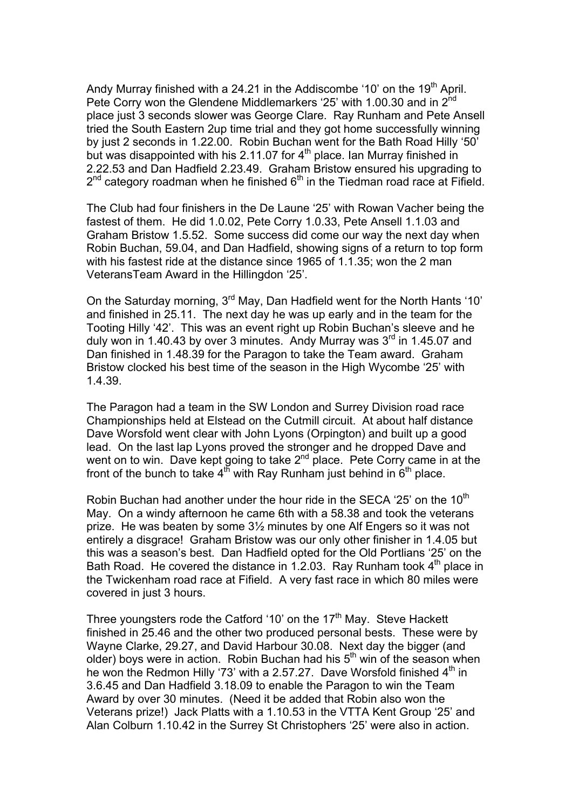Andy Murray finished with a 24.21 in the Addiscombe '10' on the 19<sup>th</sup> April. Pete Corry won the Glendene Middlemarkers '25' with 1.00.30 and in 2<sup>nd</sup> place just 3 seconds slower was George Clare. Ray Runham and Pete Ansell tried the South Eastern 2up time trial and they got home successfully winning by just 2 seconds in 1.22.00. Robin Buchan went for the Bath Road Hilly '50' but was disappointed with his 2.11.07 for  $4<sup>th</sup>$  place. Ian Murray finished in 2.22.53 and Dan Hadfield 2.23.49. Graham Bristow ensured his upgrading to  $2<sup>nd</sup>$  category roadman when he finished  $6<sup>th</sup>$  in the Tiedman road race at Fifield.

The Club had four finishers in the De Laune '25' with Rowan Vacher being the fastest of them. He did 1.0.02, Pete Corry 1.0.33, Pete Ansell 1.1.03 and Graham Bristow 1.5.52. Some success did come our way the next day when Robin Buchan, 59.04, and Dan Hadfield, showing signs of a return to top form with his fastest ride at the distance since 1965 of 1.1.35; won the 2 man VeteransTeam Award in the Hillingdon '25'.

On the Saturday morning, 3rd May, Dan Hadfield went for the North Hants '10' and finished in 25.11. The next day he was up early and in the team for the Tooting Hilly '42'. This was an event right up Robin Buchan's sleeve and he duly won in 1.40.43 by over 3 minutes. Andy Murray was  $3<sup>rd</sup>$  in 1.45.07 and Dan finished in 1.48.39 for the Paragon to take the Team award. Graham Bristow clocked his best time of the season in the High Wycombe '25' with 1.4.39.

The Paragon had a team in the SW London and Surrey Division road race Championships held at Elstead on the Cutmill circuit. At about half distance Dave Worsfold went clear with John Lyons (Orpington) and built up a good lead. On the last lap Lyons proved the stronger and he dropped Dave and went on to win. Dave kept going to take  $2<sup>nd</sup>$  place. Pete Corry came in at the front of the bunch to take  $4^{th}$  with Ray Runham just behind in  $6^{th}$  place.

Robin Buchan had another under the hour ride in the SECA '25' on the 10<sup>th</sup> May. On a windy afternoon he came 6th with a 58.38 and took the veterans prize. He was beaten by some 3½ minutes by one Alf Engers so it was not entirely a disgrace! Graham Bristow was our only other finisher in 1.4.05 but this was a season's best. Dan Hadfield opted for the Old Portlians '25' on the Bath Road. He covered the distance in 1.2.03. Ray Runham took  $4<sup>th</sup>$  place in the Twickenham road race at Fifield. A very fast race in which 80 miles were covered in just 3 hours.

Three voungsters rode the Catford '10' on the  $17<sup>th</sup>$  May. Steve Hackett finished in 25.46 and the other two produced personal bests. These were by Wayne Clarke, 29.27, and David Harbour 30.08. Next day the bigger (and older) boys were in action. Robin Buchan had his  $5<sup>th</sup>$  win of the season when he won the Redmon Hilly '73' with a 2.57.27. Dave Worsfold finished  $4<sup>th</sup>$  in 3.6.45 and Dan Hadfield 3.18.09 to enable the Paragon to win the Team Award by over 30 minutes. (Need it be added that Robin also won the Veterans prize!) Jack Platts with a 1.10.53 in the VTTA Kent Group '25' and Alan Colburn 1.10.42 in the Surrey St Christophers '25' were also in action.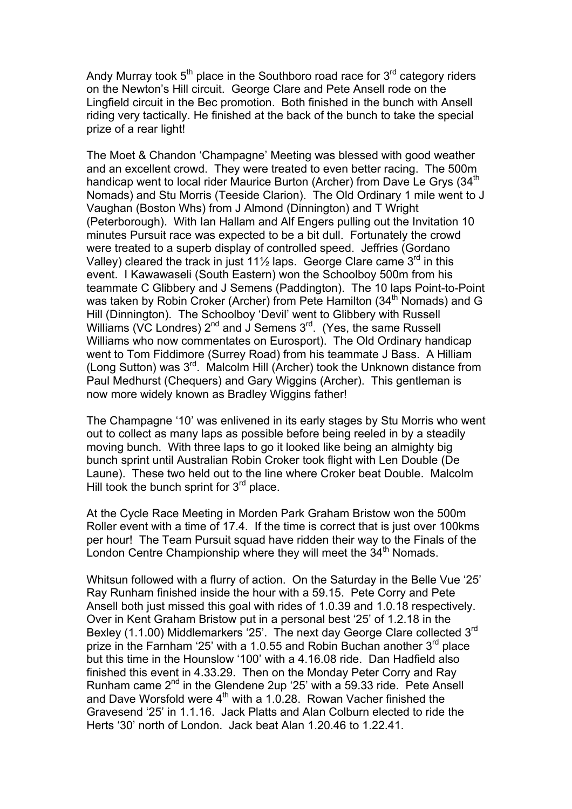Andy Murray took  $5<sup>th</sup>$  place in the Southboro road race for  $3<sup>rd</sup>$  category riders on the Newton's Hill circuit. George Clare and Pete Ansell rode on the Lingfield circuit in the Bec promotion. Both finished in the bunch with Ansell riding very tactically. He finished at the back of the bunch to take the special prize of a rear light!

The Moet & Chandon 'Champagne' Meeting was blessed with good weather and an excellent crowd. They were treated to even better racing. The 500m handicap went to local rider Maurice Burton (Archer) from Dave Le Grys (34<sup>th</sup> Nomads) and Stu Morris (Teeside Clarion). The Old Ordinary 1 mile went to J Vaughan (Boston Whs) from J Almond (Dinnington) and T Wright (Peterborough). With Ian Hallam and Alf Engers pulling out the Invitation 10 minutes Pursuit race was expected to be a bit dull. Fortunately the crowd were treated to a superb display of controlled speed. Jeffries (Gordano Valley) cleared the track in just 11<sup>1</sup>/<sub>2</sub> laps. George Clare came  $3<sup>rd</sup>$  in this event. I Kawawaseli (South Eastern) won the Schoolboy 500m from his teammate C Glibbery and J Semens (Paddington). The 10 laps Point-to-Point was taken by Robin Croker (Archer) from Pete Hamilton (34<sup>th</sup> Nomads) and G Hill (Dinnington). The Schoolboy 'Devil' went to Glibbery with Russell Williams (VC Londres) 2<sup>nd</sup> and J Semens 3<sup>rd</sup>. (Yes, the same Russell Williams who now commentates on Eurosport). The Old Ordinary handicap went to Tom Fiddimore (Surrey Road) from his teammate J Bass. A Hilliam (Long Sutton) was  $3^{rd}$ . Malcolm Hill (Archer) took the Unknown distance from Paul Medhurst (Chequers) and Gary Wiggins (Archer). This gentleman is now more widely known as Bradley Wiggins father!

The Champagne '10' was enlivened in its early stages by Stu Morris who went out to collect as many laps as possible before being reeled in by a steadily moving bunch. With three laps to go it looked like being an almighty big bunch sprint until Australian Robin Croker took flight with Len Double (De Laune). These two held out to the line where Croker beat Double. Malcolm Hill took the bunch sprint for  $3<sup>rd</sup>$  place.

At the Cycle Race Meeting in Morden Park Graham Bristow won the 500m Roller event with a time of 17.4. If the time is correct that is just over 100kms per hour! The Team Pursuit squad have ridden their way to the Finals of the London Centre Championship where they will meet the  $34<sup>th</sup>$  Nomads.

Whitsun followed with a flurry of action. On the Saturday in the Belle Vue '25' Ray Runham finished inside the hour with a 59.15. Pete Corry and Pete Ansell both just missed this goal with rides of 1.0.39 and 1.0.18 respectively. Over in Kent Graham Bristow put in a personal best '25' of 1.2.18 in the Bexley (1.1.00) Middlemarkers '25'. The next day George Clare collected 3<sup>rd</sup> prize in the Farnham '25' with a 1.0.55 and Robin Buchan another  $3<sup>rd</sup>$  place but this time in the Hounslow '100' with a 4.16.08 ride. Dan Hadfield also finished this event in 4.33.29. Then on the Monday Peter Corry and Ray Runham came 2nd in the Glendene 2up '25' with a 59.33 ride. Pete Ansell and Dave Worsfold were  $4<sup>th</sup>$  with a 1.0.28. Rowan Vacher finished the Gravesend '25' in 1.1.16. Jack Platts and Alan Colburn elected to ride the Herts '30' north of London. Jack beat Alan 1.20.46 to 1.22.41.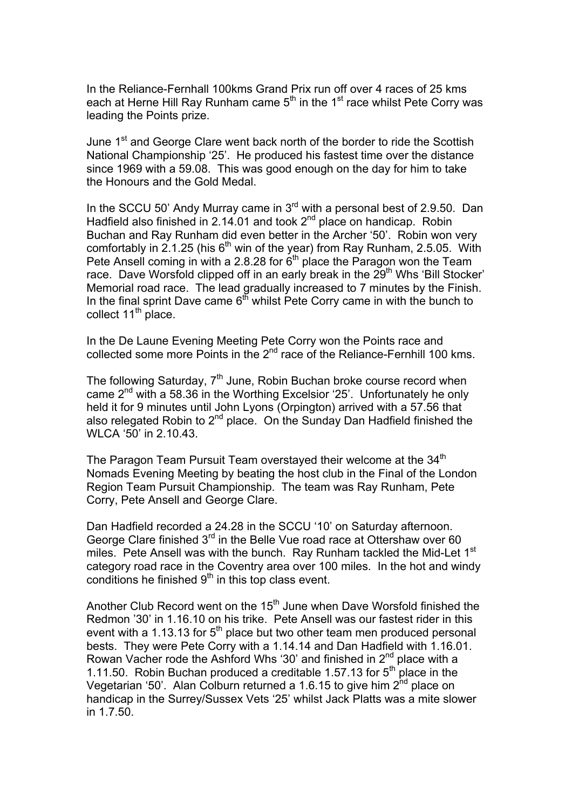In the Reliance-Fernhall 100kms Grand Prix run off over 4 races of 25 kms each at Herne Hill Ray Runham came  $5<sup>th</sup>$  in the 1<sup>st</sup> race whilst Pete Corry was leading the Points prize.

June 1<sup>st</sup> and George Clare went back north of the border to ride the Scottish National Championship '25'. He produced his fastest time over the distance since 1969 with a 59.08. This was good enough on the day for him to take the Honours and the Gold Medal.

In the SCCU 50' Andy Murray came in 3<sup>rd</sup> with a personal best of 2.9.50. Dan Hadfield also finished in 2.14.01 and took 2nd place on handicap. Robin Buchan and Ray Runham did even better in the Archer '50'. Robin won very comfortably in 2.1.25 (his  $6<sup>th</sup>$  win of the year) from Ray Runham, 2.5.05. With Pete Ansell coming in with a 2.8.28 for  $6<sup>th</sup>$  place the Paragon won the Team race. Dave Worsfold clipped off in an early break in the 29<sup>th</sup> Whs 'Bill Stocker' Memorial road race. The lead gradually increased to 7 minutes by the Finish. In the final sprint Dave came  $6<sup>th</sup>$  whilst Pete Corry came in with the bunch to collect 11<sup>th</sup> place.

In the De Laune Evening Meeting Pete Corry won the Points race and collected some more Points in the  $2^{nd}$  race of the Reliance-Fernhill 100 kms.

The following Saturday,  $7<sup>th</sup>$  June, Robin Buchan broke course record when came  $2^{nd}$  with a 58.36 in the Worthing Excelsior '25'. Unfortunately he only held it for 9 minutes until John Lyons (Orpington) arrived with a 57.56 that also relegated Robin to 2<sup>nd</sup> place. On the Sunday Dan Hadfield finished the WLCA '50' in 2.10.43.

The Paragon Team Pursuit Team overstayed their welcome at the 34<sup>th</sup> Nomads Evening Meeting by beating the host club in the Final of the London Region Team Pursuit Championship. The team was Ray Runham, Pete Corry, Pete Ansell and George Clare.

Dan Hadfield recorded a 24.28 in the SCCU '10' on Saturday afternoon. George Clare finished  $3<sup>rd</sup>$  in the Belle Vue road race at Ottershaw over 60 miles. Pete Ansell was with the bunch. Ray Runham tackled the Mid-Let 1<sup>st</sup> category road race in the Coventry area over 100 miles. In the hot and windy conditions he finished  $9<sup>th</sup>$  in this top class event.

Another Club Record went on the 15<sup>th</sup> June when Dave Worsfold finished the Redmon '30' in 1.16.10 on his trike. Pete Ansell was our fastest rider in this event with a 1.13.13 for  $5<sup>th</sup>$  place but two other team men produced personal bests. They were Pete Corry with a 1.14.14 and Dan Hadfield with 1.16.01. Rowan Vacher rode the Ashford Whs '30' and finished in 2<sup>nd</sup> place with a 1.11.50. Robin Buchan produced a creditable 1.57.13 for  $5<sup>th</sup>$  place in the Vegetarian '50'. Alan Colburn returned a 1.6.15 to give him  $2^{nd}$  place on handicap in the Surrey/Sussex Vets '25' whilst Jack Platts was a mite slower in  $1.7.50$ .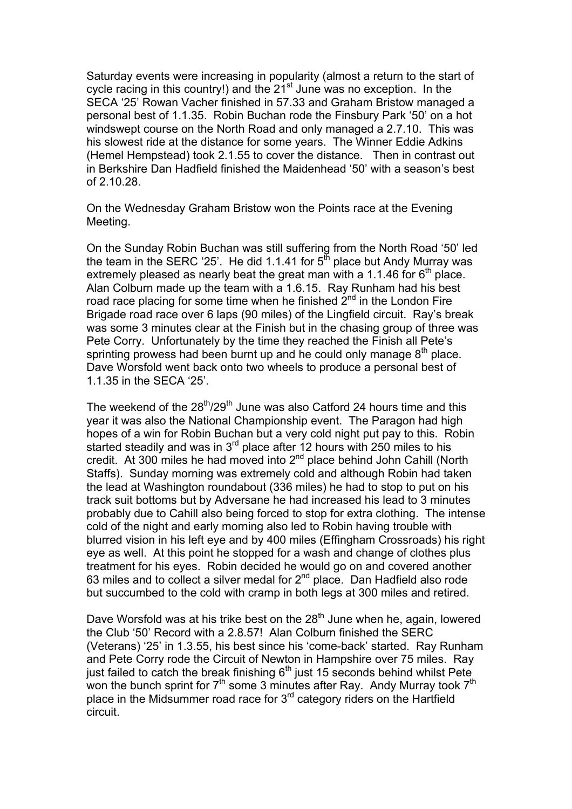Saturday events were increasing in popularity (almost a return to the start of cycle racing in this country!) and the  $21<sup>st</sup>$  June was no exception. In the SECA '25' Rowan Vacher finished in 57.33 and Graham Bristow managed a personal best of 1.1.35. Robin Buchan rode the Finsbury Park '50' on a hot windswept course on the North Road and only managed a 2.7.10. This was his slowest ride at the distance for some years. The Winner Eddie Adkins (Hemel Hempstead) took 2.1.55 to cover the distance. Then in contrast out in Berkshire Dan Hadfield finished the Maidenhead '50' with a season's best of 2.10.28.

On the Wednesday Graham Bristow won the Points race at the Evening Meeting.

On the Sunday Robin Buchan was still suffering from the North Road '50' led the team in the SERC '25'. He did 1.1.41 for  $5<sup>th</sup>$  place but Andy Murray was extremely pleased as nearly beat the great man with a 1.1.46 for  $6<sup>th</sup>$  place. Alan Colburn made up the team with a 1.6.15. Ray Runham had his best road race placing for some time when he finished  $2<sup>nd</sup>$  in the London Fire Brigade road race over 6 laps (90 miles) of the Lingfield circuit. Ray's break was some 3 minutes clear at the Finish but in the chasing group of three was Pete Corry. Unfortunately by the time they reached the Finish all Pete's sprinting prowess had been burnt up and he could only manage  $8<sup>th</sup>$  place. Dave Worsfold went back onto two wheels to produce a personal best of 1.1.35 in the SECA '25'.

The weekend of the  $28<sup>th</sup>/29<sup>th</sup>$  June was also Catford 24 hours time and this year it was also the National Championship event. The Paragon had high hopes of a win for Robin Buchan but a very cold night put pay to this. Robin started steadily and was in  $3<sup>rd</sup>$  place after 12 hours with 250 miles to his credit. At 300 miles he had moved into  $2^{nd}$  place behind John Cahill (North Staffs). Sunday morning was extremely cold and although Robin had taken the lead at Washington roundabout (336 miles) he had to stop to put on his track suit bottoms but by Adversane he had increased his lead to 3 minutes probably due to Cahill also being forced to stop for extra clothing. The intense cold of the night and early morning also led to Robin having trouble with blurred vision in his left eye and by 400 miles (Effingham Crossroads) his right eye as well. At this point he stopped for a wash and change of clothes plus treatment for his eyes. Robin decided he would go on and covered another 63 miles and to collect a silver medal for  $2<sup>nd</sup>$  place. Dan Hadfield also rode but succumbed to the cold with cramp in both legs at 300 miles and retired.

Dave Worsfold was at his trike best on the 28<sup>th</sup> June when he, again, lowered the Club '50' Record with a 2.8.57! Alan Colburn finished the SERC (Veterans) '25' in 1.3.55, his best since his 'come-back' started. Ray Runham and Pete Corry rode the Circuit of Newton in Hampshire over 75 miles. Ray just failed to catch the break finishing  $6<sup>th</sup>$  just 15 seconds behind whilst Pete won the bunch sprint for  $7<sup>th</sup>$  some 3 minutes after Ray. Andy Murray took  $7<sup>th</sup>$ place in the Midsummer road race for 3rd category riders on the Hartfield circuit.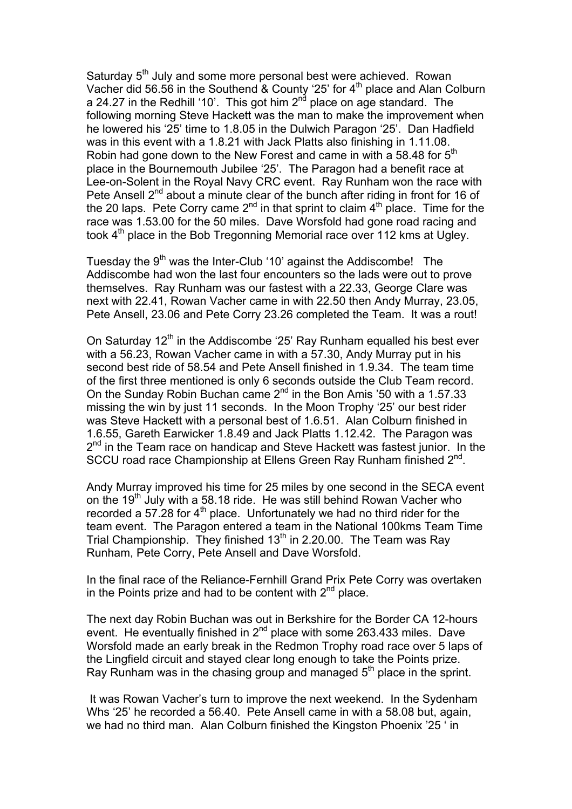Saturday 5<sup>th</sup> July and some more personal best were achieved. Rowan Vacher did 56.56 in the Southend & County '25' for 4<sup>th</sup> place and Alan Colburn a 24.27 in the Redhill '10'. This got him  $2^{nd}$  place on age standard. The following morning Steve Hackett was the man to make the improvement when he lowered his '25' time to 1.8.05 in the Dulwich Paragon '25'. Dan Hadfield was in this event with a 1.8.21 with Jack Platts also finishing in 1.11.08. Robin had gone down to the New Forest and came in with a 58.48 for  $5<sup>th</sup>$ place in the Bournemouth Jubilee '25'. The Paragon had a benefit race at Lee-on-Solent in the Royal Navy CRC event. Ray Runham won the race with Pete Ansell 2<sup>nd</sup> about a minute clear of the bunch after riding in front for 16 of the 20 laps. Pete Corry came  $2^{nd}$  in that sprint to claim  $4^{th}$  place. Time for the race was 1.53.00 for the 50 miles. Dave Worsfold had gone road racing and took 4<sup>th</sup> place in the Bob Tregonning Memorial race over 112 kms at Ugley.

Tuesday the  $9<sup>th</sup>$  was the Inter-Club '10' against the Addiscombe! The Addiscombe had won the last four encounters so the lads were out to prove themselves. Ray Runham was our fastest with a 22.33, George Clare was next with 22.41, Rowan Vacher came in with 22.50 then Andy Murray, 23.05, Pete Ansell, 23.06 and Pete Corry 23.26 completed the Team. It was a rout!

On Saturday  $12<sup>th</sup>$  in the Addiscombe '25' Ray Runham equalled his best ever with a 56.23, Rowan Vacher came in with a 57.30, Andy Murray put in his second best ride of 58.54 and Pete Ansell finished in 1.9.34. The team time of the first three mentioned is only 6 seconds outside the Club Team record. On the Sunday Robin Buchan came  $2^{nd}$  in the Bon Amis '50 with a 1.57.33 missing the win by just 11 seconds. In the Moon Trophy '25' our best rider was Steve Hackett with a personal best of 1.6.51. Alan Colburn finished in 1.6.55, Gareth Earwicker 1.8.49 and Jack Platts 1.12.42. The Paragon was  $2<sup>nd</sup>$  in the Team race on handicap and Steve Hackett was fastest junior. In the SCCU road race Championship at Ellens Green Ray Runham finished 2<sup>nd</sup>.

Andy Murray improved his time for 25 miles by one second in the SECA event on the 19th July with a 58.18 ride. He was still behind Rowan Vacher who recorded a 57.28 for  $4<sup>th</sup>$  place. Unfortunately we had no third rider for the team event. The Paragon entered a team in the National 100kms Team Time Trial Championship. They finished  $13<sup>th</sup>$  in 2.20.00. The Team was Ray Runham, Pete Corry, Pete Ansell and Dave Worsfold.

In the final race of the Reliance-Fernhill Grand Prix Pete Corry was overtaken in the Points prize and had to be content with  $2^{nd}$  place.

The next day Robin Buchan was out in Berkshire for the Border CA 12-hours event. He eventually finished in 2<sup>nd</sup> place with some 263.433 miles. Dave Worsfold made an early break in the Redmon Trophy road race over 5 laps of the Lingfield circuit and stayed clear long enough to take the Points prize. Ray Runham was in the chasing group and managed  $5<sup>th</sup>$  place in the sprint.

 It was Rowan Vacher's turn to improve the next weekend. In the Sydenham Whs '25' he recorded a 56.40. Pete Ansell came in with a 58.08 but, again, we had no third man. Alan Colburn finished the Kingston Phoenix '25 ' in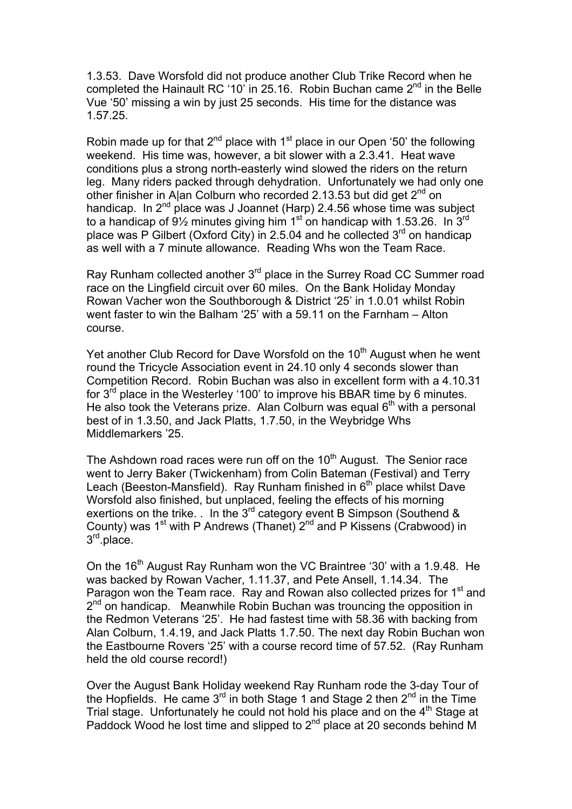1.3.53. Dave Worsfold did not produce another Club Trike Record when he completed the Hainault RC '10' in 25.16. Robin Buchan came  $2<sup>nd</sup>$  in the Belle Vue '50' missing a win by just 25 seconds. His time for the distance was 1.57.25.

Robin made up for that  $2^{nd}$  place with 1<sup>st</sup> place in our Open '50' the following weekend. His time was, however, a bit slower with a 2.3.41. Heat wave conditions plus a strong north-easterly wind slowed the riders on the return leg. Many riders packed through dehydration. Unfortunately we had only one other finisher in A|an Colburn who recorded 2.13.53 but did get 2<sup>nd</sup> on handicap. In  $2^{nd}$  place was J Joannet (Harp) 2.4.56 whose time was subject to a handicap of  $9\frac{1}{2}$  minutes giving him 1<sup>st</sup> on handicap with 1.53.26. In 3<sup>rd</sup> place was P Gilbert (Oxford City) in 2.5.04 and he collected  $3<sup>rd</sup>$  on handicap as well with a 7 minute allowance. Reading Whs won the Team Race.

Ray Runham collected another 3<sup>rd</sup> place in the Surrey Road CC Summer road race on the Lingfield circuit over 60 miles. On the Bank Holiday Monday Rowan Vacher won the Southborough & District '25' in 1.0.01 whilst Robin went faster to win the Balham '25' with a 59.11 on the Farnham – Alton course.

Yet another Club Record for Dave Worsfold on the 10<sup>th</sup> August when he went round the Tricycle Association event in 24.10 only 4 seconds slower than Competition Record. Robin Buchan was also in excellent form with a 4.10.31 for  $3<sup>rd</sup>$  place in the Westerley '100' to improve his BBAR time by 6 minutes. He also took the Veterans prize. Alan Colburn was equal  $6<sup>th</sup>$  with a personal best of in 1.3.50, and Jack Platts, 1.7.50, in the Weybridge Whs Middlemarkers '25.

The Ashdown road races were run off on the  $10<sup>th</sup>$  August. The Senior race went to Jerry Baker (Twickenham) from Colin Bateman (Festival) and Terry Leach (Beeston-Mansfield). Ray Runham finished in  $6<sup>th</sup>$  place whilst Dave Worsfold also finished, but unplaced, feeling the effects of his morning exertions on the trike. . In the 3<sup>rd</sup> category event B Simpson (Southend & County) was  $1^{st}$  with P Andrews (Thanet)  $2^{nd}$  and P Kissens (Crabwood) in 3<sup>rd</sup>.place.

On the 16<sup>th</sup> August Ray Runham won the VC Braintree '30' with a 1.9.48. He was backed by Rowan Vacher, 1.11.37, and Pete Ansell, 1.14.34. The Paragon won the Team race. Ray and Rowan also collected prizes for 1<sup>st</sup> and  $2<sup>nd</sup>$  on handicap. Meanwhile Robin Buchan was trouncing the opposition in the Redmon Veterans '25'. He had fastest time with 58.36 with backing from Alan Colburn, 1.4.19, and Jack Platts 1.7.50. The next day Robin Buchan won the Eastbourne Rovers '25' with a course record time of 57.52. (Ray Runham held the old course record!)

Over the August Bank Holiday weekend Ray Runham rode the 3-day Tour of the Hopfields. He came  $3^{rd}$  in both Stage 1 and Stage 2 then  $2^{nd}$  in the Time Trial stage. Unfortunately he could not hold his place and on the  $4<sup>th</sup>$  Stage at Paddock Wood he lost time and slipped to  $2<sup>nd</sup>$  place at 20 seconds behind M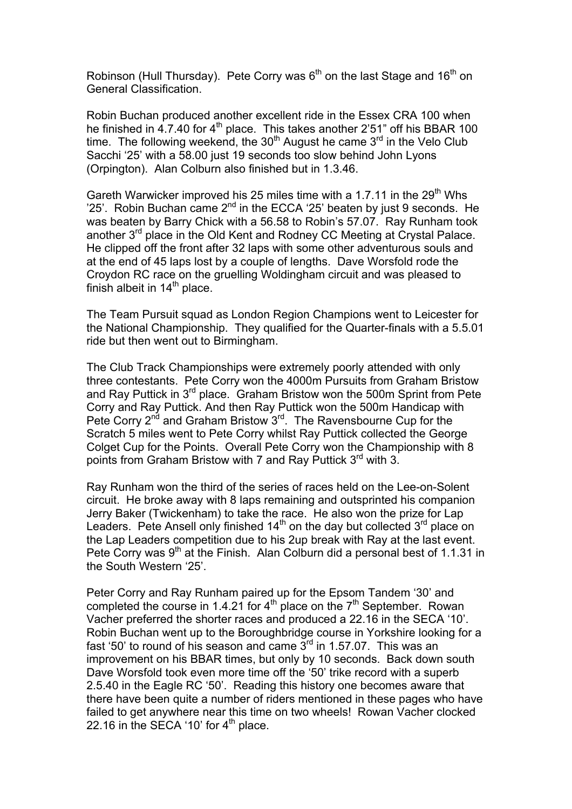Robinson (Hull Thursday). Pete Corry was  $6<sup>th</sup>$  on the last Stage and 16<sup>th</sup> on General Classification.

Robin Buchan produced another excellent ride in the Essex CRA 100 when he finished in  $4.7.40$  for  $4<sup>th</sup>$  place. This takes another 2'51" off his BBAR 100 time. The following weekend, the  $30<sup>th</sup>$  August he came  $3<sup>rd</sup>$  in the Velo Club Sacchi '25' with a 58.00 just 19 seconds too slow behind John Lyons (Orpington). Alan Colburn also finished but in 1.3.46.

Gareth Warwicker improved his 25 miles time with a 1.7.11 in the 29<sup>th</sup> Whs '25'. Robin Buchan came  $2^{nd}$  in the ECCA '25' beaten by just 9 seconds. He was beaten by Barry Chick with a 56.58 to Robin's 57.07. Ray Runham took another 3<sup>rd</sup> place in the Old Kent and Rodney CC Meeting at Crystal Palace. He clipped off the front after 32 laps with some other adventurous souls and at the end of 45 laps lost by a couple of lengths. Dave Worsfold rode the Croydon RC race on the gruelling Woldingham circuit and was pleased to finish albeit in  $14<sup>th</sup>$  place.

The Team Pursuit squad as London Region Champions went to Leicester for the National Championship. They qualified for the Quarter-finals with a 5.5.01 ride but then went out to Birmingham.

The Club Track Championships were extremely poorly attended with only three contestants. Pete Corry won the 4000m Pursuits from Graham Bristow and Ray Puttick in  $3^{rd}$  place. Graham Bristow won the 500m Sprint from Pete Corry and Ray Puttick. And then Ray Puttick won the 500m Handicap with Pete Corry  $2^{nd}$  and Graham Bristow  $3^{rd}$ . The Ravensbourne Cup for the Scratch 5 miles went to Pete Corry whilst Ray Puttick collected the George Colget Cup for the Points. Overall Pete Corry won the Championship with 8 points from Graham Bristow with 7 and Ray Puttick 3<sup>rd</sup> with 3.

Ray Runham won the third of the series of races held on the Lee-on-Solent circuit. He broke away with 8 laps remaining and outsprinted his companion Jerry Baker (Twickenham) to take the race. He also won the prize for Lap Leaders. Pete Ansell only finished  $14<sup>th</sup>$  on the day but collected  $3<sup>rd</sup>$  place on the Lap Leaders competition due to his 2up break with Ray at the last event. Pete Corry was  $9<sup>th</sup>$  at the Finish. Alan Colburn did a personal best of 1.1.31 in the South Western '25'.

Peter Corry and Ray Runham paired up for the Epsom Tandem '30' and completed the course in 1.4.21 for  $4<sup>th</sup>$  place on the  $7<sup>th</sup>$  September. Rowan Vacher preferred the shorter races and produced a 22.16 in the SECA '10'. Robin Buchan went up to the Boroughbridge course in Yorkshire looking for a fast '50' to round of his season and came  $3<sup>rd</sup>$  in 1.57.07. This was an improvement on his BBAR times, but only by 10 seconds. Back down south Dave Worsfold took even more time off the '50' trike record with a superb 2.5.40 in the Eagle RC '50'. Reading this history one becomes aware that there have been quite a number of riders mentioned in these pages who have failed to get anywhere near this time on two wheels! Rowan Vacher clocked 22.16 in the SECA '10' for  $4<sup>th</sup>$  place.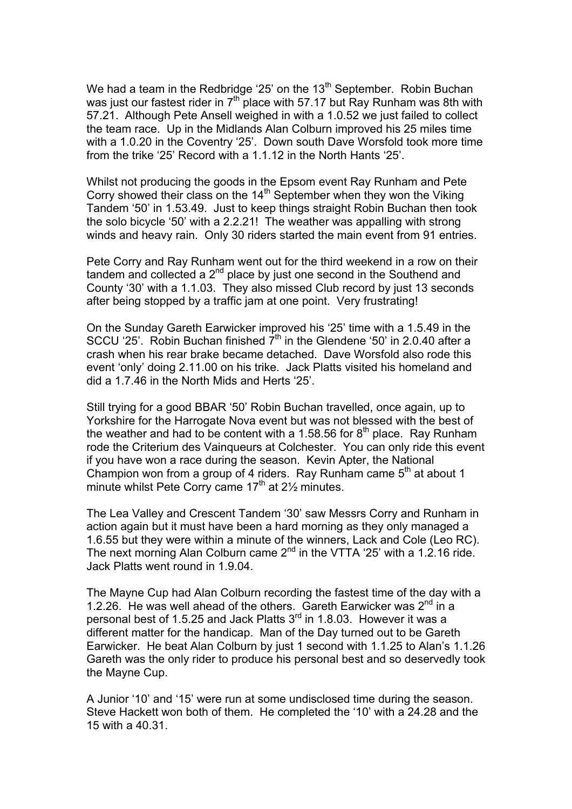We had a team in the Redbridge '25' on the 13<sup>th</sup> September. Robin Buchan was just our fastest rider in  $7<sup>th</sup>$  place with 57.17 but Ray Runham was 8th with 57.21. Although Pete Ansell weighed in with a 1.0.52 we just failed to collect the team race. Up in the Midlands Alan Colburn improved his 25 miles time with a 1.0.20 in the Coventry '25'. Down south Dave Worsfold took more time from the trike '25' Record with a 1.1.12 in the North Hants '25'.

Whilst not producing the goods in the Epsom event Ray Runham and Pete Corry showed their class on the 14<sup>th</sup> September when they won the Viking Tandem '50' in 1.53.49. Just to keep things straight Robin Buchan then took the solo bicycle '50' with a 2.2.21! The weather was appalling with strong winds and heavy rain. Only 30 riders started the main event from 91 entries.

Pete Corry and Ray Runham went out for the third weekend in a row on their tandem and collected a  $2^{nd}$  place by just one second in the Southend and County '30' with a 1.1.03. They also missed Club record by just 13 seconds after being stopped by a traffic jam at one point. Very frustrating!

On the Sunday Gareth Earwicker improved his '25' time with a 1.5.49 in the SCCU '25'. Robin Buchan finished  $7<sup>th</sup>$  in the Glendene '50' in 2.0.40 after a crash when his rear brake became detached. Dave Worsfold also rode this event 'only' doing 2.11.00 on his trike. Jack Platts visited his homeland and did a 1.7.46 in the North Mids and Herts '25'.

Still trying for a good BBAR '50' Robin Buchan travelled, once again, up to Yorkshire for the Harrogate Nova event but was not blessed with the best of the weather and had to be content with a 1.58.56 for  $8<sup>th</sup>$  place. Ray Runham rode the Criterium des Vainqueurs at Colchester. You can only ride this event if you have won a race during the season. Kevin Apter, the National Champion won from a group of 4 riders. Ray Runham came  $5<sup>th</sup>$  at about 1 minute whilst Pete Corry came  $17<sup>th</sup>$  at 2<sup>1</sup>/<sub>2</sub> minutes.

The Lea Valley and Crescent Tandem '30' saw Messrs Corry and Runham in action again but it must have been a hard morning as they only managed a 1.6.55 but they were within a minute of the winners, Lack and Cole (Leo RC). The next morning Alan Colburn came  $2^{nd}$  in the VTTA '25' with a 1.2.16 ride. Jack Platts went round in 1.9.04.

The Mayne Cup had Alan Colburn recording the fastest time of the day with a 1.2.26. He was well ahead of the others. Gareth Earwicker was  $2^{nd}$  in a personal best of 1.5.25 and Jack Platts  $3<sup>rd</sup>$  in 1.8.03. However it was a different matter for the handicap. Man of the Day turned out to be Gareth Earwicker. He beat Alan Colburn by just 1 second with 1.1.25 to Alan's 1.1.26 Gareth was the only rider to produce his personal best and so deservedly took the Mayne Cup.

A Junior '10' and '15' were run at some undisclosed time during the season. Steve Hackett won both of them. He completed the '10' with a 24.28 and the 15 with a 40.31.